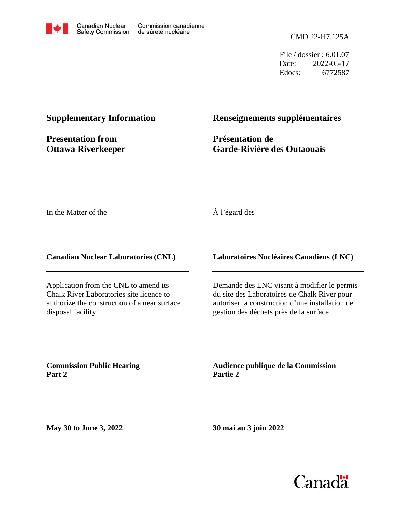

File / dossier : 6.01.07 Date: 2022-05-17 Edocs: 6772587

#### **Supplementary Information**

**Presentation from Ottawa Riverkeeper**

#### **Renseignements supplémentaires**

**Présentation de Garde-Rivière des Outaouais**

In the Matter of the

#### À l'égard des

**Canadian Nuclear Laboratories (CNL)**

Application from the CNL to amend its Chalk River Laboratories site licence to authorize the construction of a near surface disposal facility

**Laboratoires Nucléaires Canadiens (LNC)**

Demande des LNC visant à modifier le permis du site des Laboratoires de Chalk River pour autoriser la construction d'une installation de gestion des déchets près de la surface

**Commission Public Hearing Part 2**

**Audience publique de la Commission Partie 2**

**May 30 to June 3, 2022**

**30 mai au 3 juin 2022**

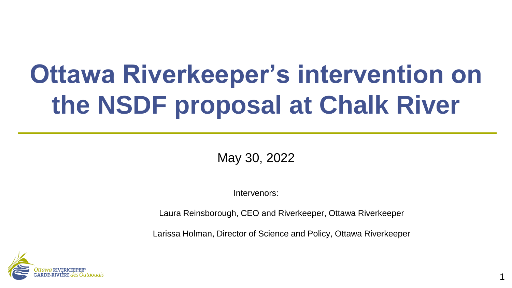# **Ottawa Riverkeeper's intervention on the NSDF proposal at Chalk River**

May 30, 2022

Intervenors:

Laura Reinsborough, CEO and Riverkeeper, Ottawa Riverkeeper

Larissa Holman, Director of Science and Policy, Ottawa Riverkeeper

1

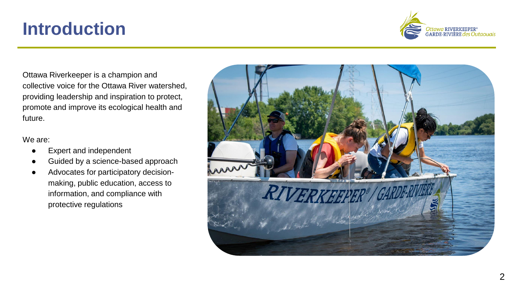# **Introduction**



Ottawa Riverkeeper is a champion and collective voice for the Ottawa River watershed, providing leadership and inspiration to protect, promote and improve its ecological health and future.

We are:

- **Expert and independent**
- Guided by a science-based approach
- Advocates for participatory decisionmaking, public education, access to information, and compliance with protective regulations

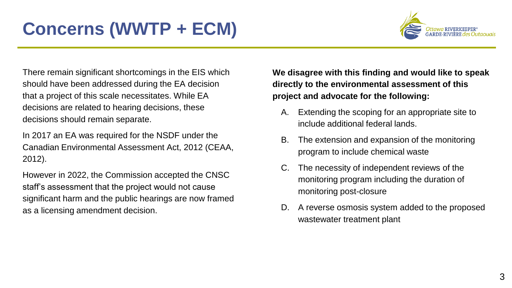

There remain significant shortcomings in the EIS which should have been addressed during the EA decision that a project of this scale necessitates. While EA decisions are related to hearing decisions, these decisions should remain separate.

In 2017 an EA was required for the NSDF under the Canadian Environmental Assessment Act, 2012 (CEAA, 2012).

However in 2022, the Commission accepted the CNSC staff's assessment that the project would not cause significant harm and the public hearings are now framed as a licensing amendment decision.

**We disagree with this finding and would like to speak directly to the environmental assessment of this project and advocate for the following:**

- A. Extending the scoping for an appropriate site to include additional federal lands.
- B. The extension and expansion of the monitoring program to include chemical waste
- C. The necessity of independent reviews of the monitoring program including the duration of monitoring post-closure
- D. A reverse osmosis system added to the proposed wastewater treatment plant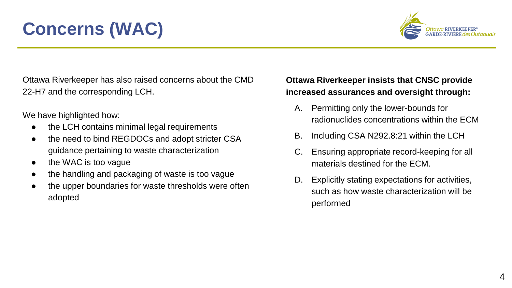# **Concerns (WAC)**



Ottawa Riverkeeper has also raised concerns about the CMD 22-H7 and the corresponding LCH.

We have highlighted how:

- the LCH contains minimal legal requirements
- the need to bind REGDOCs and adopt stricter CSA guidance pertaining to waste characterization
- the WAC is too vague
- the handling and packaging of waste is too vague
- the upper boundaries for waste thresholds were often adopted

#### **Ottawa Riverkeeper insists that CNSC provide increased assurances and oversight through:**

- A. Permitting only the lower-bounds for radionuclides concentrations within the ECM
- B. Including CSA N292.8:21 within the LCH
- C. Ensuring appropriate record-keeping for all materials destined for the ECM.
- D. Explicitly stating expectations for activities, such as how waste characterization will be performed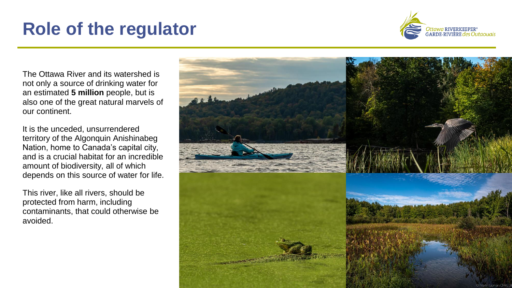# **Role of the regulator**



The Ottawa River and its watershed is not only a source of drinking water for an estimated **5 million** people, but is also one of the great natural marvels of our continent.

It is the unceded, unsurrendered territory of the Algonquin Anishinabeg Nation, home to Canada's capital city, and is a crucial habitat for an incredible amount of biodiversity, all of which depends on this source of water for life.

This river, like all rivers, should be protected from harm, including contaminants, that could otherwise be avoided.

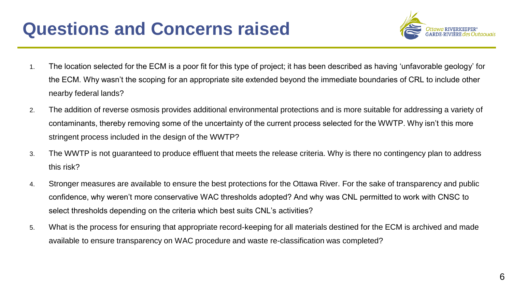### **Questions and Concerns raised**



- 1. The location selected for the ECM is a poor fit for this type of project; it has been described as having 'unfavorable geology' for the ECM. Why wasn't the scoping for an appropriate site extended beyond the immediate boundaries of CRL to include other nearby federal lands?
- 2. The addition of reverse osmosis provides additional environmental protections and is more suitable for addressing a variety of contaminants, thereby removing some of the uncertainty of the current process selected for the WWTP. Why isn't this more stringent process included in the design of the WWTP?
- 3. The WWTP is not guaranteed to produce effluent that meets the release criteria. Why is there no contingency plan to address this risk?
- 4. Stronger measures are available to ensure the best protections for the Ottawa River. For the sake of transparency and public confidence, why weren't more conservative WAC thresholds adopted? And why was CNL permitted to work with CNSC to select thresholds depending on the criteria which best suits CNL's activities?
- 5. What is the process for ensuring that appropriate record-keeping for all materials destined for the ECM is archived and made available to ensure transparency on WAC procedure and waste re-classification was completed?